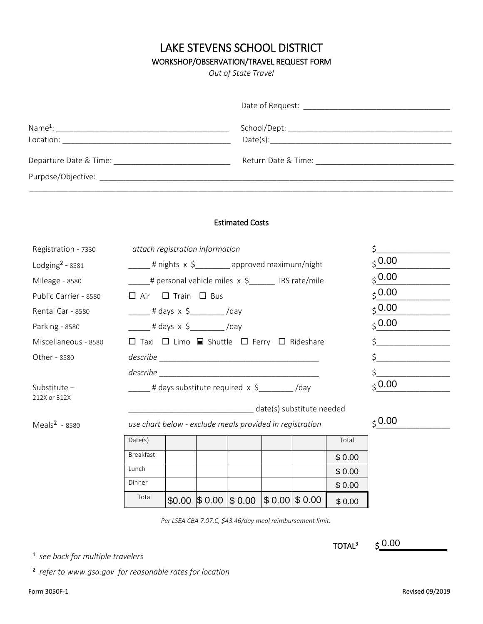# LAKE STEVENS SCHOOL DISTRICT

# WORKSHOP/OBSERVATION/TRAVEL REQUEST FORM

*Out of State Travel*

| Location:                                     |  |
|-----------------------------------------------|--|
| Departure Date & Time: Departure Date & Time: |  |
|                                               |  |
|                                               |  |

### Estimated Costs

| Registration - 7330   |           | attach registration information                                                       |  |                                                                              |  |                                                            |                    | \$                 |  |
|-----------------------|-----------|---------------------------------------------------------------------------------------|--|------------------------------------------------------------------------------|--|------------------------------------------------------------|--------------------|--------------------|--|
| Lodging $2$ - 8581    |           | _____ # nights x \$________ approved maximum/night                                    |  |                                                                              |  |                                                            |                    | $\zeta$ 0.00       |  |
| Mileage - 8580        |           |                                                                                       |  | ____# personal vehicle miles x \$______ IRS rate/mile                        |  |                                                            |                    | $\zeta$ 0.00       |  |
| Public Carrier - 8580 |           | $\Box$ Air $\Box$ Train $\Box$ Bus                                                    |  |                                                                              |  |                                                            |                    | $\zeta$ 0.00       |  |
| Rental Car - 8580     |           | $\frac{1}{2}$ # days x \$ /2 /day                                                     |  |                                                                              |  |                                                            |                    | $\zeta$ 0.00       |  |
| Parking - 8580        |           | ______ # days x \$_________/day                                                       |  |                                                                              |  |                                                            |                    | $\zeta$ 0.00       |  |
| Miscellaneous - 8580  |           |                                                                                       |  | $\Box$ Taxi $\Box$ Limo $\blacksquare$ Shuttle $\Box$ Ferry $\Box$ Rideshare |  |                                                            |                    | $\zeta$            |  |
| Other - 8580          |           |                                                                                       |  |                                                                              |  |                                                            |                    | $\zeta$            |  |
|                       |           |                                                                                       |  |                                                                              |  |                                                            |                    | $\mathsf{\dot{S}}$ |  |
| Substitute $-$        |           | $_{\text{S}}$ 0.00<br>_____# days substitute required x \$________/day                |  |                                                                              |  |                                                            |                    |                    |  |
| 212X or 312X          |           |                                                                                       |  |                                                                              |  |                                                            |                    |                    |  |
| Meals $2 - 8580$      |           | date(s) substitute needed<br>use chart below - exclude meals provided in registration |  |                                                                              |  |                                                            |                    | $_{\text{S}}$ 0.00 |  |
|                       | Date(s)   |                                                                                       |  |                                                                              |  |                                                            | Total              |                    |  |
|                       | Breakfast |                                                                                       |  |                                                                              |  |                                                            | \$0.00             |                    |  |
|                       | Lunch     |                                                                                       |  |                                                                              |  |                                                            | \$0.00             |                    |  |
|                       | Dinner    |                                                                                       |  |                                                                              |  |                                                            | \$0.00             |                    |  |
|                       | Total     |                                                                                       |  | $$0.00 \;  $ 0.00 \;  $ 0.00 \;  $ 0.00 \;  $ 0.00 \;$                       |  |                                                            | \$0.00             |                    |  |
|                       |           |                                                                                       |  |                                                                              |  | Per LSEA CBA 7.07.C, \$43.46/day meal reimbursement limit. |                    |                    |  |
|                       |           |                                                                                       |  |                                                                              |  |                                                            |                    |                    |  |
|                       |           |                                                                                       |  |                                                                              |  |                                                            | TOTAL <sup>3</sup> | 50.00              |  |

1 *see back for multiple travelers*

2 *refer to www.gsa.gov for reasonable rates for location*

TOTAL<sup>3</sup>

 $5 - 0.00$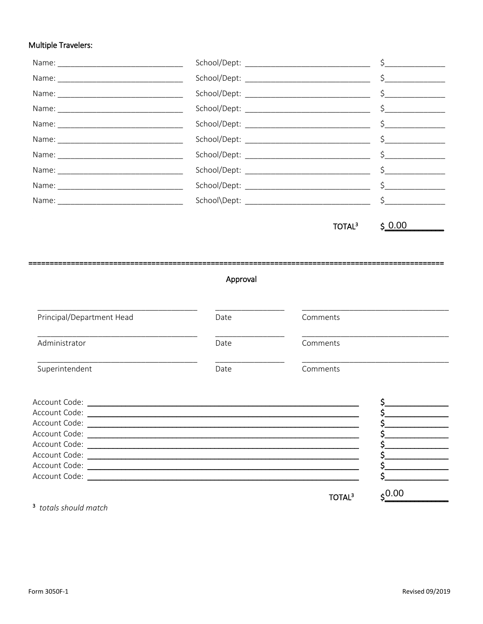### **Multiple Travelers:**

TOTAL<sup>3</sup>

 $$0.00$ 

#### ====== ================ Approval

| Principal/Department Head                                                                                                                                                                                                      | Date | Comments |  |
|--------------------------------------------------------------------------------------------------------------------------------------------------------------------------------------------------------------------------------|------|----------|--|
| Administrator                                                                                                                                                                                                                  | Date | Comments |  |
| Superintendent                                                                                                                                                                                                                 | Date | Comments |  |
| Account Code: \\end{\math{\math{\math{\math{\math{\math{\math{\math{\math{\math{\math{\math{\math{\math{\math{\math{\math{\math{\math{\math{\math{\math{\math{\math{\math{\math{\math{\math{\math{\math{\math{\math{\math{\mat |      |          |  |
| Account Code:<br>Account Code:                                                                                                                                                                                                 |      |          |  |
| Account Code:                                                                                                                                                                                                                  |      |          |  |
| Account Code:                                                                                                                                                                                                                  |      |          |  |

Ş. \$, \$.

 $\frac{$0.00}{5}$ 

TOTAL<sup>3</sup>

<sup>3</sup> totals should match